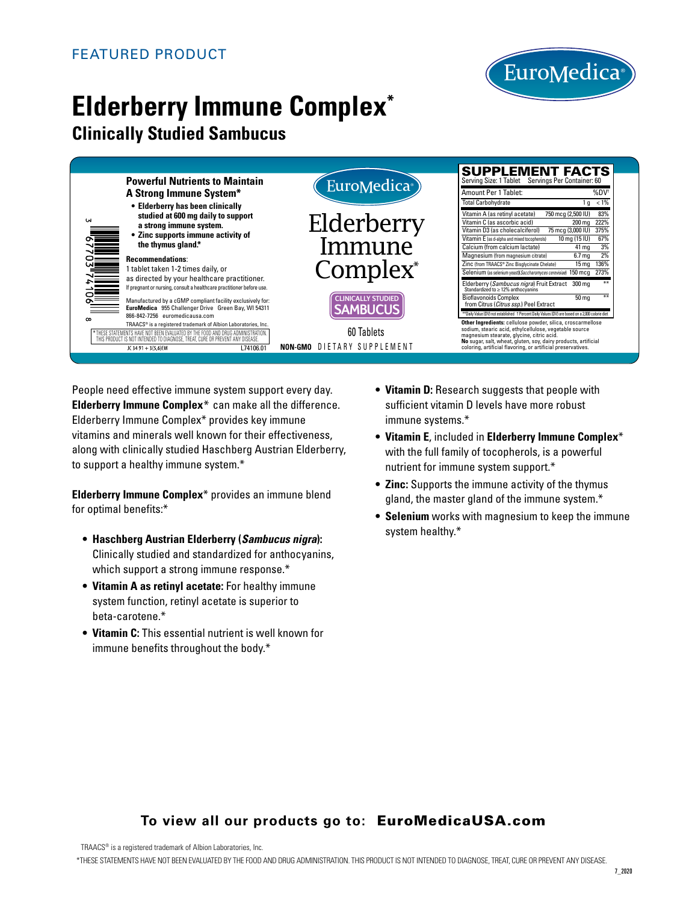

# **Elderberry Immune Complex\***

## **Clinically Studied Sambucus**

| <b>Powerful Nutrients to Maintain</b><br>A Strong Immune System*<br>• Elderberry has been clinically<br>studied at 600 mg daily to support<br><b>UN</b><br>a strong immune system.<br>• Zinc supports immune activity of<br>the thymus gland.*<br><b>Recommendations:</b> | EuroMedica <sup>®</sup>           | <b>SUPPLEMENT FACTS</b><br>Serving Size: 1 Tablet Servings Per Container: 60                                                   |
|---------------------------------------------------------------------------------------------------------------------------------------------------------------------------------------------------------------------------------------------------------------------------|-----------------------------------|--------------------------------------------------------------------------------------------------------------------------------|
|                                                                                                                                                                                                                                                                           |                                   | Amount Per 1 Tablet:<br>%DV <sup>+</sup>                                                                                       |
|                                                                                                                                                                                                                                                                           |                                   | <b>Total Carbohydrate</b><br>$1 g < 1\%$                                                                                       |
|                                                                                                                                                                                                                                                                           | Elderberry                        | Vitamin A (as retinyl acetate)<br>750 mcg (2,500 IU)<br>83%<br>Vitamin C (as ascorbic acid)<br>222%<br>200 mg                  |
|                                                                                                                                                                                                                                                                           |                                   | Vitamin D3 (as cholecalciferol)<br>75 mcg (3,000 IU)<br>375%                                                                   |
|                                                                                                                                                                                                                                                                           | Immune                            | Vitamin E (as d-alpha and mixed tocopherols)<br>10 mg (15 IU)<br>67%<br>Calcium (from calcium lactate)<br>3%                   |
|                                                                                                                                                                                                                                                                           |                                   | 41 mg<br>2%<br>Magnesium (from magnesium citrate)<br>6.7 <sub>mg</sub>                                                         |
|                                                                                                                                                                                                                                                                           |                                   | 15 mg 136%<br>Zinc (from TRAACS® Zinc Bisglycinate Chelate)                                                                    |
| 1 tablet taken 1-2 times daily, or<br>as directed by your healthcare practitioner.                                                                                                                                                                                        | Complex <sup>*</sup>              | 150 mcg 273%<br>Selenium (as selenium yeast)(Saccharomyces cerevisiae)                                                         |
| If pregnant or nursing, consult a healthcare practitioner before use.                                                                                                                                                                                                     |                                   | Elderberry ( <i>Sambucus nigra</i> ) Fruit Extract<br>Standardized to ≥12% anthocyanins<br>300 mg                              |
| Manufactured by a cGMP compliant facility exclusively for:                                                                                                                                                                                                                | <b>CLINICALLY STUDIED</b>         | <b>Bioflavonoids Complex</b><br>50 <sub>mg</sub><br>from Citrus (Citrus ssp.) Peel Extract                                     |
| EuroMedica 955 Challenger Drive Green Bay, WI 54311<br>866-842-7256 euromedicausa.com                                                                                                                                                                                     | <b>AMBUCUS</b>                    | ** Daily Value (DV) not established t Percent Daily Values (DV) are based on a 2,000 calorie diet                              |
| TRAACS® is a registered trademark of Albion Laboratories, Inc.                                                                                                                                                                                                            |                                   | Other Ingredients: cellulose powder, silica, croscarmellose<br>sodium, stearic acid, ethylcellulose, vegetable source          |
| * THESE STATEMENTS HAVE NOT BEEN EVALUATED BY THE FOOD AND DRUG ADMINISTRATION<br>THIS PRODUCT IS NOT INTENDED TO DIAGNOSE. TREAT, CURE OR PREVENT ANY DISEASE                                                                                                            | 60 Tablets                        | magnesium stearate, glycine, citric acid.                                                                                      |
| L74106.01<br>JC 34 91 + 3(5,6)EM                                                                                                                                                                                                                                          | <b>NON-GMO</b> DIETARY SUPPLEMENT | No sugar, salt, wheat, gluten, soy, dairy products, artificial<br>coloring, artificial flavoring, or artificial preservatives. |

People need effective immune system support every day. **Elderberry Immune Complex**\* can make all the difference. Elderberry Immune Complex\* provides key immune vitamins and minerals well known for their effectiveness, along with clinically studied Haschberg Austrian Elderberry, to support a healthy immune system.\*

**Elderberry Immune Complex**\* provides an immune blend for optimal benefits:\*

- **Haschberg Austrian Elderberry (***Sambucus nigra***):**  Clinically studied and standardized for anthocyanins, which support a strong immune response.\*
- **Vitamin A as retinyl acetate:** For healthy immune system function, retinyl acetate is superior to beta-carotene.\*
- **Vitamin C:** This essential nutrient is well known for immune benefits throughout the body.\*
- **Vitamin D:** Research suggests that people with sufficient vitamin D levels have more robust immune systems.\*
- **Vitamin E**, included in **Elderberry Immune Complex**\* with the full family of tocopherols, is a powerful nutrient for immune system support.\*
- **Zinc:** Supports the immune activity of the thymus gland, the master gland of the immune system.\*
- **Selenium** works with magnesium to keep the immune system healthy.\*

### **To view all our products go to:** EuroMedicaUSA.com

TRAACS® is a registered trademark of Albion Laboratories, Inc.

\*THESE STATEMENTS HAVE NOT BEEN EVALUATED BY THE FOOD AND DRUG ADMINISTRATION. THIS PRODUCT IS NOT INTENDED TO DIAGNOSE, TREAT, CURE OR PREVENT ANY DISEASE.